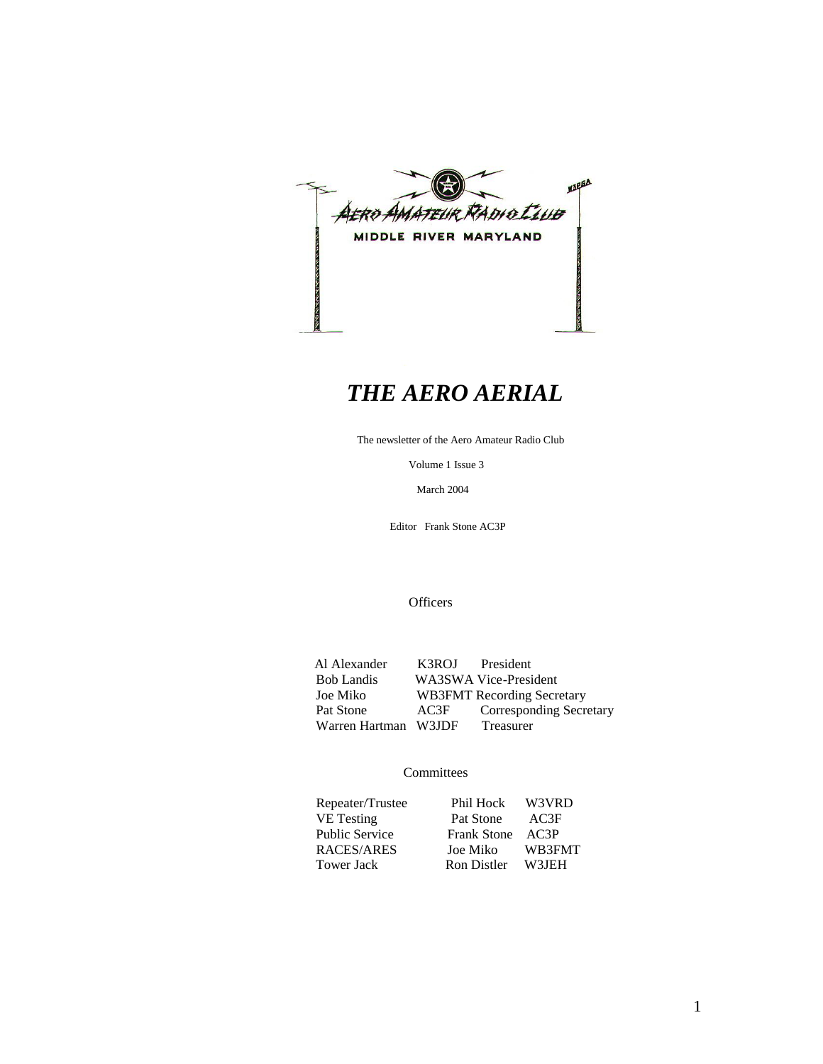

# *THE AERO AERIAL*

The newsletter of the Aero Amateur Radio Club

Volume 1 Issue 3

March 2004

Editor Frank Stone AC3P

**Officers** 

Al Alexander K3ROJ President<br>Bob Landis WA3SWA Vice-Presi Bob Landis WA3SWA Vice-President<br>Joe Miko WB3FMT Recording Secre WB3FMT Recording Secretary Pat Stone AC3F Corresponding Secretary<br>Warren Hartman W3JDF Treasurer Warren Hartman W3JDF

### **Committees**

| Repeater/Trustee      | Phil Hock W3VRD  |        |
|-----------------------|------------------|--------|
| VE Testing            | Pat Stone        | AC3F   |
| <b>Public Service</b> | Frank Stone AC3P |        |
| RACES/ARES            | Joe Miko         | WB3FMT |
| <b>Tower Jack</b>     | Ron Distler      | W3IEH  |
|                       |                  |        |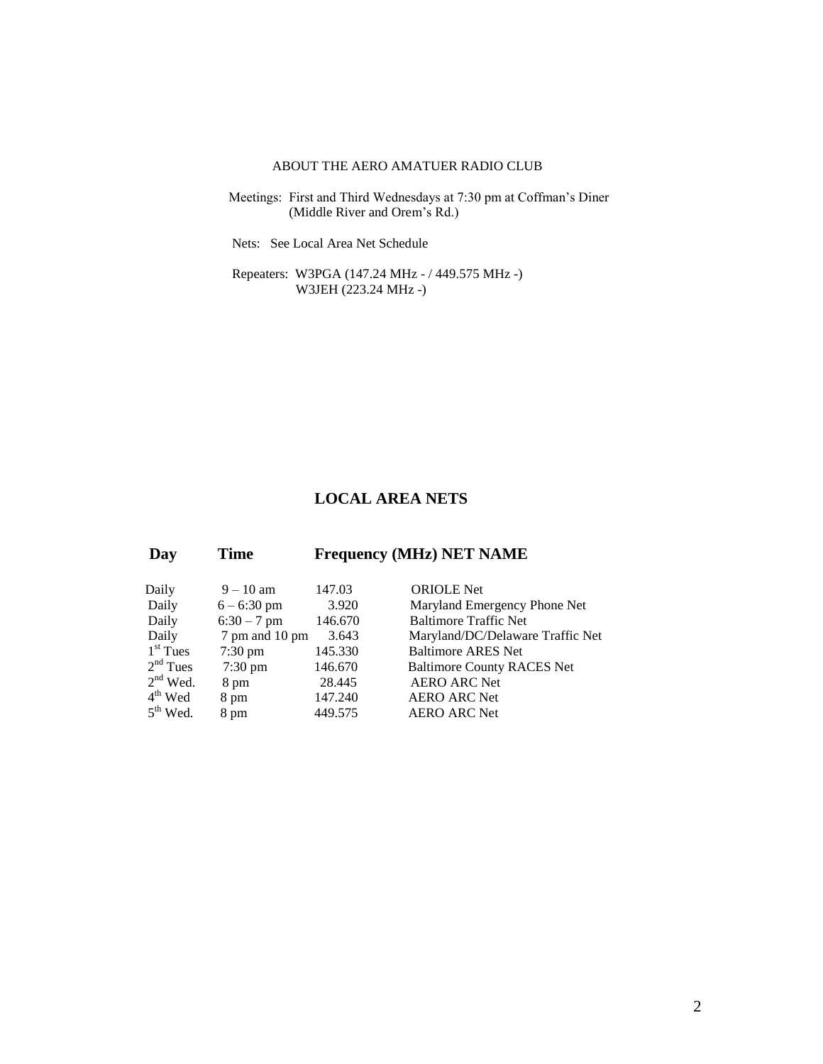### ABOUT THE AERO AMATUER RADIO CLUB

 Meetings: First and Third Wednesdays at 7:30 pm at Coffman's Diner (Middle River and Orem's Rd.)

Nets: See Local Area Net Schedule

 Repeaters: W3PGA (147.24 MHz - / 449.575 MHz -) W3JEH (223.24 MHz -)

### **LOCAL AREA NETS**

| Day        | Time              |         | <b>Frequency (MHz) NET NAME</b>   |
|------------|-------------------|---------|-----------------------------------|
| Daily      | $9 - 10$ am       | 147.03  | <b>ORIOLE</b> Net                 |
| Daily      | $6 - 6:30$ pm     | 3.920   | Maryland Emergency Phone Net      |
| Daily      | $6:30 - 7$ pm     | 146.670 | <b>Baltimore Traffic Net</b>      |
| Daily      | 7 pm and 10 pm    | 3.643   | Maryland/DC/Delaware Traffic Net  |
| $1st$ Tues | $7:30 \text{ pm}$ | 145.330 | <b>Baltimore ARES Net</b>         |
| $2nd$ Tues | $7:30 \text{ pm}$ | 146.670 | <b>Baltimore County RACES Net</b> |
| $2nd$ Wed. | 8 pm              | 28.445  | <b>AERO ARC Net</b>               |
| $4th$ Wed  | 8 pm              | 147.240 | <b>AERO ARC Net</b>               |
| $5th$ Wed. | 8 pm              | 449.575 | <b>AERO ARC Net</b>               |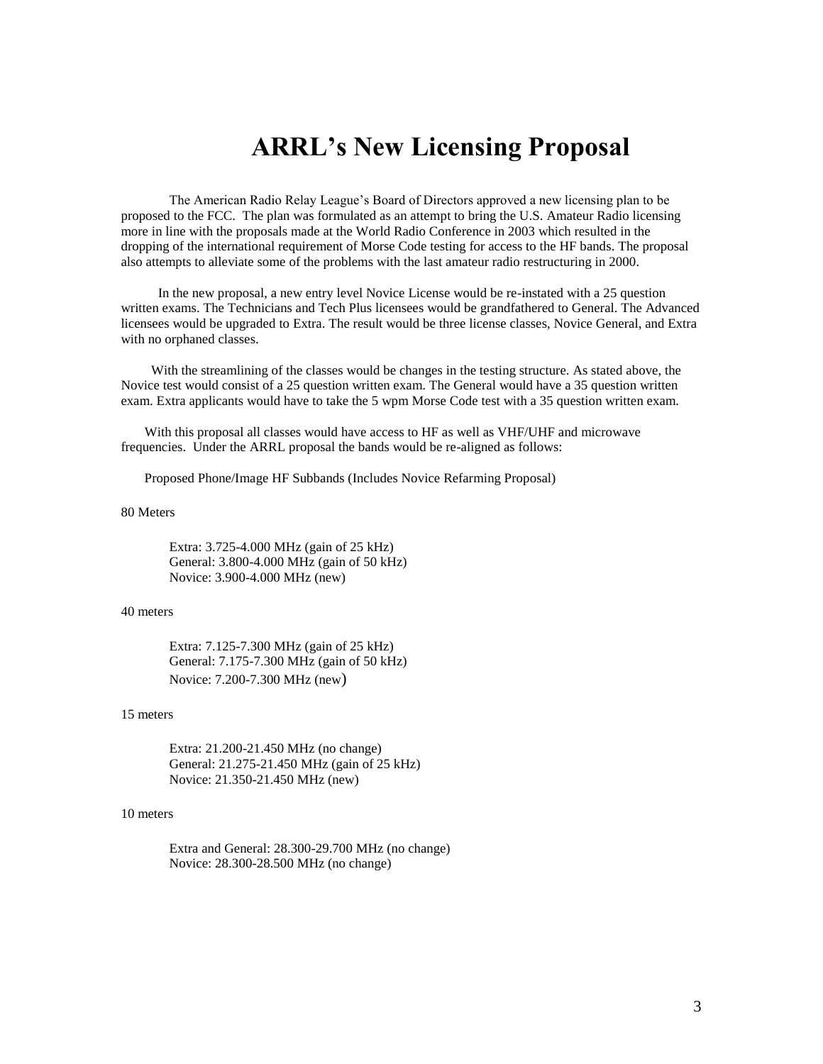# **ARRL's New Licensing Proposal**

The American Radio Relay League's Board of Directors approved a new licensing plan to be proposed to the FCC. The plan was formulated as an attempt to bring the U.S. Amateur Radio licensing more in line with the proposals made at the World Radio Conference in 2003 which resulted in the dropping of the international requirement of Morse Code testing for access to the HF bands. The proposal also attempts to alleviate some of the problems with the last amateur radio restructuring in 2000.

 In the new proposal, a new entry level Novice License would be re-instated with a 25 question written exams. The Technicians and Tech Plus licensees would be grandfathered to General. The Advanced licensees would be upgraded to Extra. The result would be three license classes, Novice General, and Extra with no orphaned classes.

 With the streamlining of the classes would be changes in the testing structure. As stated above, the Novice test would consist of a 25 question written exam. The General would have a 35 question written exam. Extra applicants would have to take the 5 wpm Morse Code test with a 35 question written exam.

 With this proposal all classes would have access to HF as well as VHF/UHF and microwave frequencies. Under the ARRL proposal the bands would be re-aligned as follows:

Proposed Phone/Image HF Subbands (Includes Novice Refarming Proposal)

#### 80 Meters

Extra: 3.725-4.000 MHz (gain of 25 kHz) General: 3.800-4.000 MHz (gain of 50 kHz) Novice: 3.900-4.000 MHz (new)

### 40 meters

Extra: 7.125-7.300 MHz (gain of 25 kHz) General: 7.175-7.300 MHz (gain of 50 kHz) Novice: 7.200-7.300 MHz (new)

#### 15 meters

Extra: 21.200-21.450 MHz (no change) General: 21.275-21.450 MHz (gain of 25 kHz) Novice: 21.350-21.450 MHz (new)

### 10 meters

Extra and General: 28.300-29.700 MHz (no change) Novice: 28.300-28.500 MHz (no change)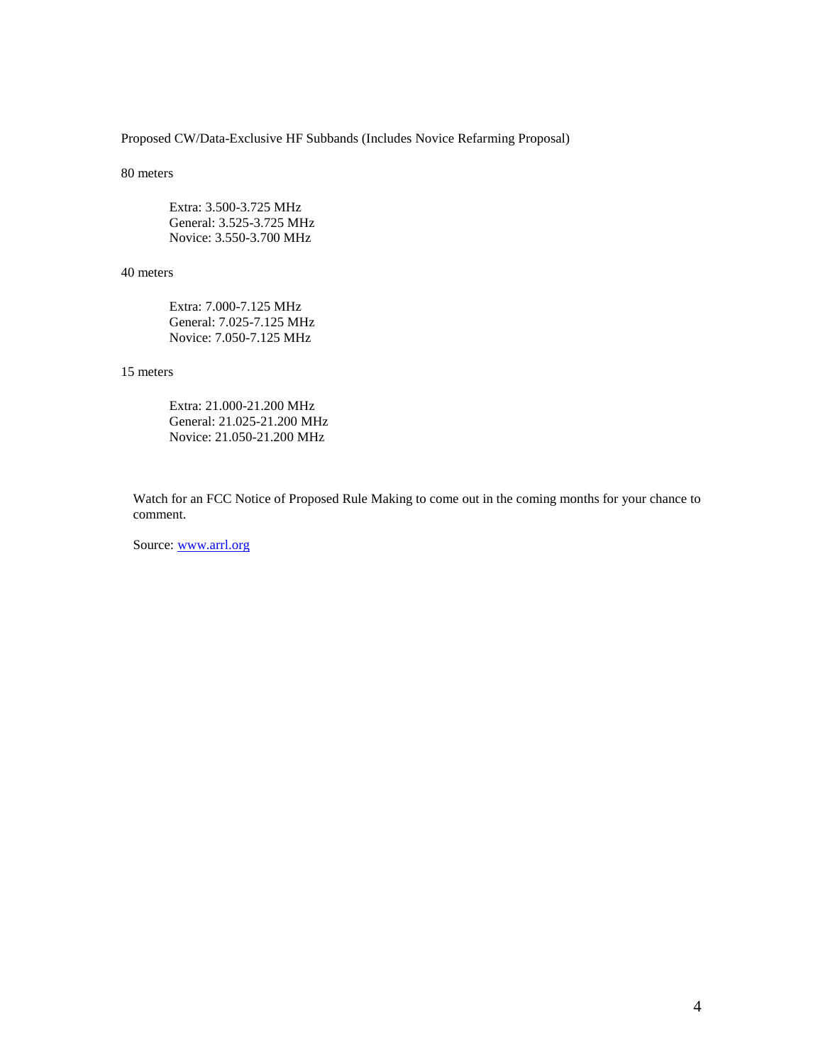Proposed CW/Data-Exclusive HF Subbands (Includes Novice Refarming Proposal)

#### 80 meters

Extra: 3.500-3.725 MHz General: 3.525-3.725 MHz Novice: 3.550-3.700 MHz

#### 40 meters

Extra: 7.000-7.125 MHz General: 7.025-7.125 MHz Novice: 7.050-7.125 MHz

### 15 meters

Extra: 21.000-21.200 MHz General: 21.025-21.200 MHz Novice: 21.050-21.200 MHz

Watch for an FCC Notice of Proposed Rule Making to come out in the coming months for your chance to comment.

Source: [www.arrl.org](http://www.arrl.org/)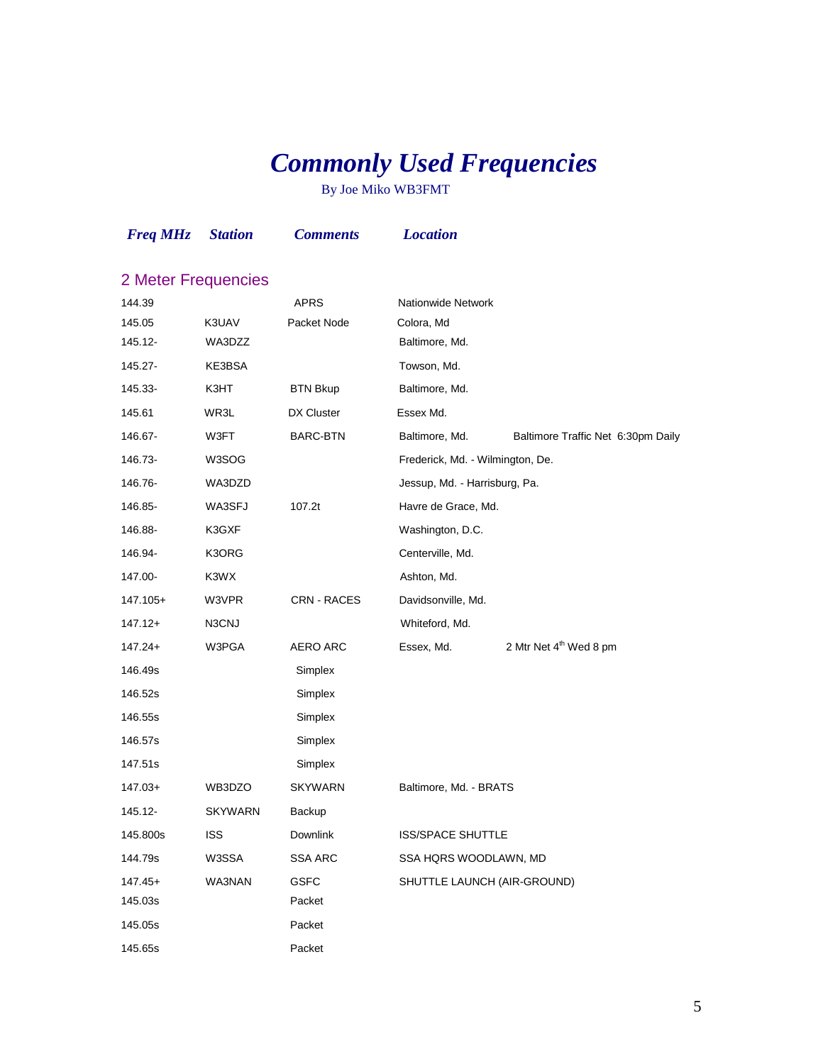# *Commonly Used Frequencies*

By Joe Miko WB3FMT

| <b>Freq MHz</b>     | <b>Station</b> | <b>Comments</b> | <b>Location</b>                  |                                    |
|---------------------|----------------|-----------------|----------------------------------|------------------------------------|
| 2 Meter Frequencies |                |                 |                                  |                                    |
| 144.39              |                | <b>APRS</b>     | Nationwide Network               |                                    |
| 145.05              | K3UAV          | Packet Node     | Colora, Md                       |                                    |
| 145.12-             | WA3DZZ         |                 | Baltimore, Md.                   |                                    |
| 145.27-             | KE3BSA         |                 | Towson, Md.                      |                                    |
| 145.33-             | K3HT           | <b>BTN Bkup</b> | Baltimore, Md.                   |                                    |
| 145.61              | WR3L           | DX Cluster      | Essex Md.                        |                                    |
| 146.67-             | W3FT           | BARC-BTN        | Baltimore, Md.                   | Baltimore Traffic Net 6:30pm Daily |
| 146.73-             | W3SOG          |                 | Frederick, Md. - Wilmington, De. |                                    |
| 146.76-             | WA3DZD         |                 | Jessup, Md. - Harrisburg, Pa.    |                                    |
| 146.85-             | WA3SFJ         | 107.2t          | Havre de Grace, Md.              |                                    |
| 146.88-             | K3GXF          |                 | Washington, D.C.                 |                                    |
| 146.94-             | K3ORG          |                 | Centerville, Md.                 |                                    |
| 147.00-             | K3WX           |                 | Ashton, Md.                      |                                    |
| 147.105+            | W3VPR          | CRN - RACES     | Davidsonville, Md.               |                                    |
| 147.12+             | N3CNJ          |                 | Whiteford, Md.                   |                                    |
| $147.24+$           | W3PGA          | <b>AERO ARC</b> | Essex, Md.                       | 2 Mtr Net 4 <sup>th</sup> Wed 8 pm |
| 146.49s             |                | Simplex         |                                  |                                    |
| 146.52s             |                | Simplex         |                                  |                                    |
| 146.55s             |                | Simplex         |                                  |                                    |
| 146.57s             |                | Simplex         |                                  |                                    |
| 147.51s             |                | Simplex         |                                  |                                    |
| $147.03+$           | WB3DZO         | <b>SKYWARN</b>  | Baltimore, Md. - BRATS           |                                    |
| 145.12-             | <b>SKYWARN</b> | Backup          |                                  |                                    |
| 145.800s            | <b>ISS</b>     | <b>Downlink</b> | <b>ISS/SPACE SHUTTLE</b>         |                                    |
| 144.79s             | W3SSA          | <b>SSA ARC</b>  | SSA HQRS WOODLAWN, MD            |                                    |
| $147.45+$           | <b>WA3NAN</b>  | <b>GSFC</b>     | SHUTTLE LAUNCH (AIR-GROUND)      |                                    |
| 145.03s             |                | Packet          |                                  |                                    |
| 145.05s             |                | Packet          |                                  |                                    |
| 145.65s             |                | Packet          |                                  |                                    |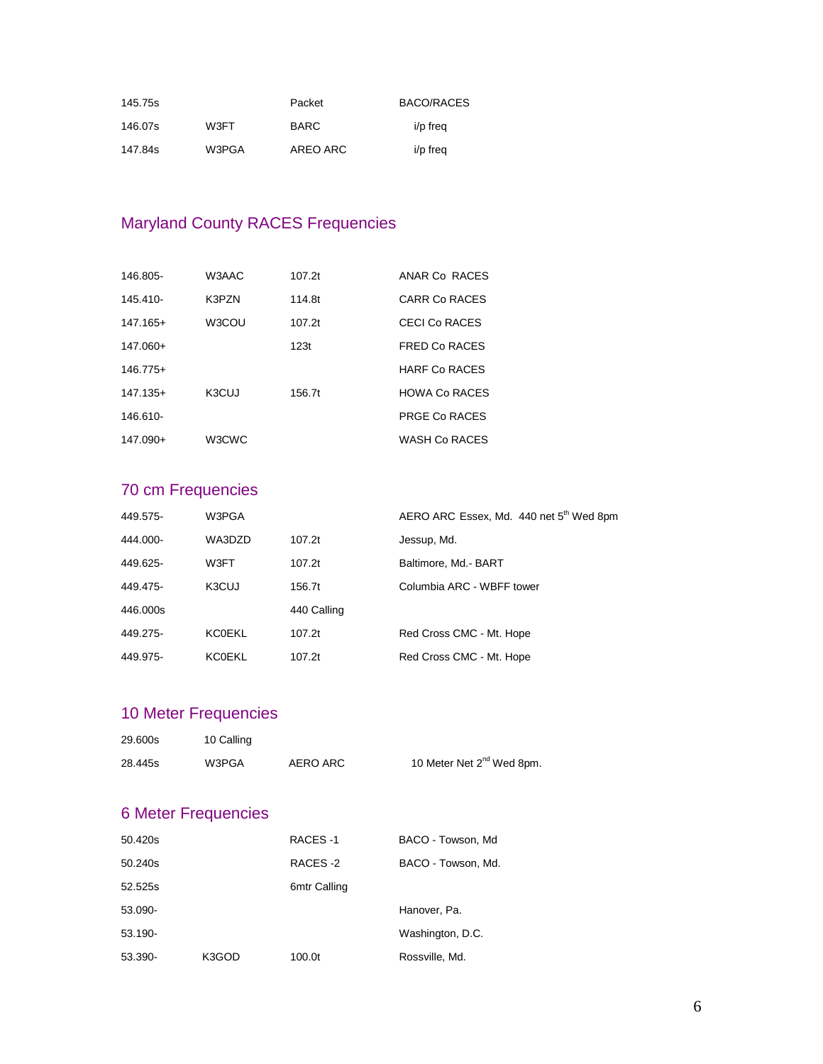| 145.75s |       | Packet      | BACO/RACES |
|---------|-------|-------------|------------|
| 146.07s | W3FT  | <b>BARC</b> | i/p freq   |
| 147.84s | W3PGA | AREO ARC    | i/p freq   |

# Maryland County RACES Frequencies

| 146.805-   | W3AAC              | 107.2t | ANAR Co RACES        |
|------------|--------------------|--------|----------------------|
| 145.410-   | K3PZN              | 114.8t | CARR Co RACES        |
| $147.165+$ | W3COU              | 107.2t | CECI Co RACES        |
| 147.060+   |                    | 123t   | <b>FRED Co RACES</b> |
| $146.775+$ |                    |        | <b>HARE Co RACES</b> |
| $147.135+$ | K <sub>3</sub> CUJ | 156.7t | <b>HOWA Co RACES</b> |
| 146.610-   |                    |        | <b>PRGE Co RACES</b> |
| $147.090+$ | W3CWC              |        | <b>WASH Co RACES</b> |

# 70 cm Frequencies

| 449.575- | W3PGA         |             | AERO ARC Essex, Md. 440 net 5 <sup>th</sup> Wed 8pm |
|----------|---------------|-------------|-----------------------------------------------------|
| 444.000- | WA3DZD        | 107.2t      | Jessup, Md.                                         |
| 449.625- | W3FT          | 107.2t      | Baltimore, Md.- BART                                |
| 449.475- | K3CUJ         | 156.7t      | Columbia ARC - WBFF tower                           |
| 446,000s |               | 440 Calling |                                                     |
| 449.275- | <b>KC0EKL</b> | 107.2t      | Red Cross CMC - Mt. Hope                            |
| 449.975- | <b>KC0EKL</b> | 107.2t      | Red Cross CMC - Mt. Hope                            |

# 10 Meter Frequencies

| 29.600s | 10 Calling |          |                                       |
|---------|------------|----------|---------------------------------------|
| 28.445s | W3PGA      | AERO ARC | 10 Meter Net 2 <sup>nd</sup> Wed 8pm. |

# 6 Meter Frequencies

| 50.420s    |       | RACES-1      | BACO - Towson, Md  |
|------------|-------|--------------|--------------------|
| 50.240s    |       | RACES-2      | BACO - Towson, Md. |
| 52.525s    |       | 6mtr Calling |                    |
| 53.090-    |       |              | Hanover, Pa.       |
| $53.190 -$ |       |              | Washington, D.C.   |
| 53.390-    | K3GOD | 100.0t       | Rossville, Md.     |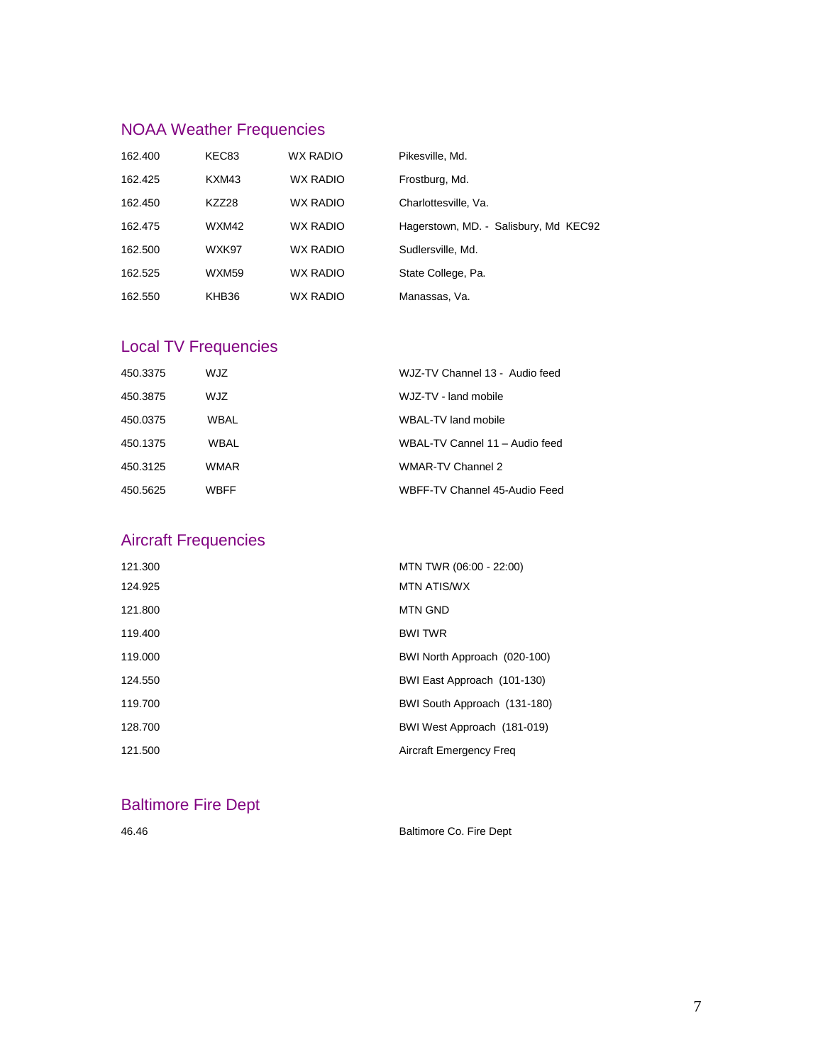# NOAA Weather Frequencies

| 162.400 | KEC83 | <b>WX RADIO</b> | Pikesville, Md.                       |
|---------|-------|-----------------|---------------------------------------|
| 162.425 | KXM43 | <b>WX RADIO</b> | Frostburg, Md.                        |
| 162.450 | KZZ28 | <b>WX RADIO</b> | Charlottesville, Va.                  |
| 162.475 | WXM42 | <b>WX RADIO</b> | Hagerstown, MD. - Salisbury, Md KEC92 |
| 162.500 | WXK97 | <b>WX RADIO</b> | Sudlersville, Md.                     |
| 162.525 | WXM59 | <b>WX RADIO</b> | State College, Pa.                    |
| 162.550 | KHB36 | <b>WX RADIO</b> | Manassas, Va.                         |

# Local TV Frequencies

| 450.3375 | WJZ  | WJZ-TV Channel 13 - Audio feed |
|----------|------|--------------------------------|
| 450.3875 | WJZ  | WJZ-TV - land mobile           |
| 450.0375 | WBAL | WBAL-TV land mobile            |
| 450.1375 | WBAL | WBAL-TV Cannel 11 - Audio feed |
| 450.3125 | WMAR | WMAR-TV Channel 2              |
| 450.5625 | WBFF | WBFF-TV Channel 45-Audio Feed  |

# Aircraft Frequencies

| 121.300 | MTN TWR (06:00 - 22:00)        |
|---------|--------------------------------|
| 124.925 | <b>MTN ATIS/WX</b>             |
| 121.800 | <b>MTN GND</b>                 |
| 119.400 | <b>BWI TWR</b>                 |
| 119.000 | BWI North Approach (020-100)   |
| 124.550 | BWI East Approach (101-130)    |
| 119.700 | BWI South Approach (131-180)   |
| 128.700 | BWI West Approach (181-019)    |
| 121.500 | <b>Aircraft Emergency Freg</b> |
|         |                                |

### Baltimore Fire Dept

46.46 Baltimore Co. Fire Dept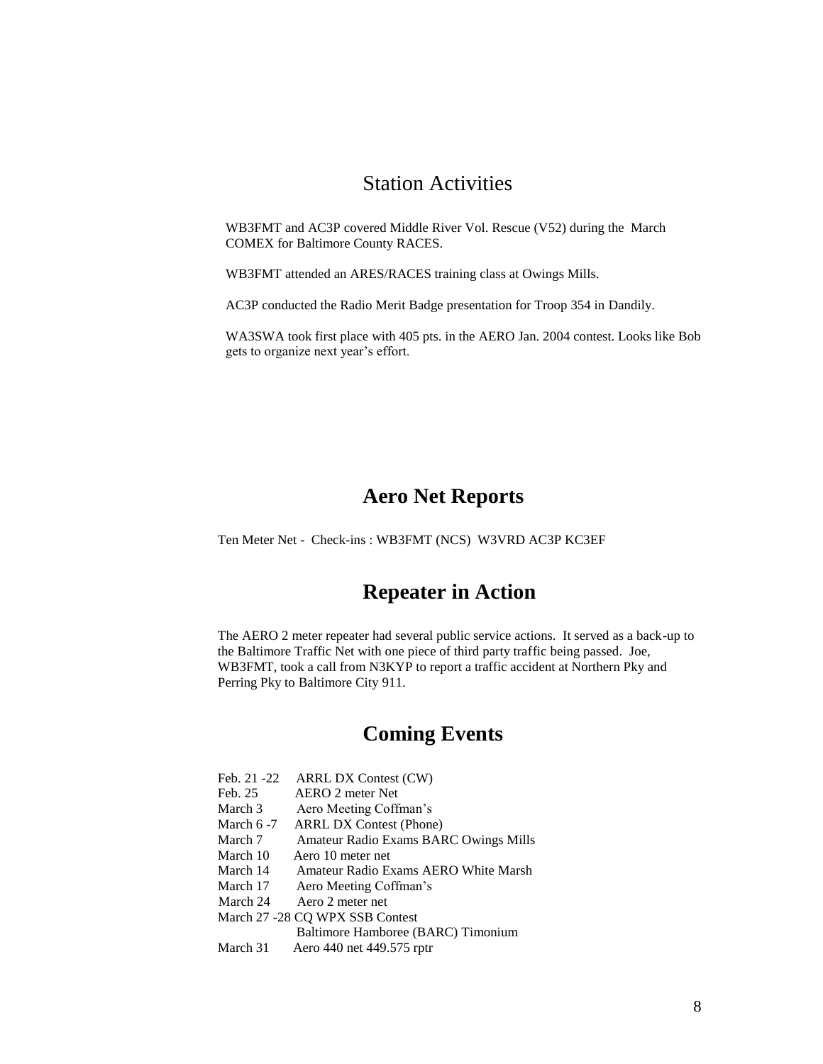### Station Activities

WB3FMT and AC3P covered Middle River Vol. Rescue (V52) during the March COMEX for Baltimore County RACES.

WB3FMT attended an ARES/RACES training class at Owings Mills.

AC3P conducted the Radio Merit Badge presentation for Troop 354 in Dandily.

WA3SWA took first place with 405 pts. in the AERO Jan. 2004 contest. Looks like Bob gets to organize next year's effort.

### **Aero Net Reports**

Ten Meter Net - Check-ins : WB3FMT (NCS) W3VRD AC3P KC3EF

### **Repeater in Action**

The AERO 2 meter repeater had several public service actions. It served as a back-up to the Baltimore Traffic Net with one piece of third party traffic being passed. Joe, WB3FMT, took a call from N3KYP to report a traffic accident at Northern Pky and Perring Pky to Baltimore City 911.

# **Coming Events**

- Feb. 21 -22 ARRL DX Contest (CW)<br>Feb. 25 AERO 2 meter Net
- AERO 2 meter Net
- March 3 Aero Meeting Coffman's
- March 6 -7 ARRL DX Contest (Phone)
- March 7 Amateur Radio Exams BARC Owings Mills
- March 10 Aero 10 meter net
- March 14 Amateur Radio Exams AERO White Marsh
- March 17 Aero Meeting Coffman's
- March 24 Aero 2 meter net
- March 27 -28 CQ WPX SSB Contest
	- Baltimore Hamboree (BARC) Timonium
- March 31 Aero 440 net 449.575 rptr